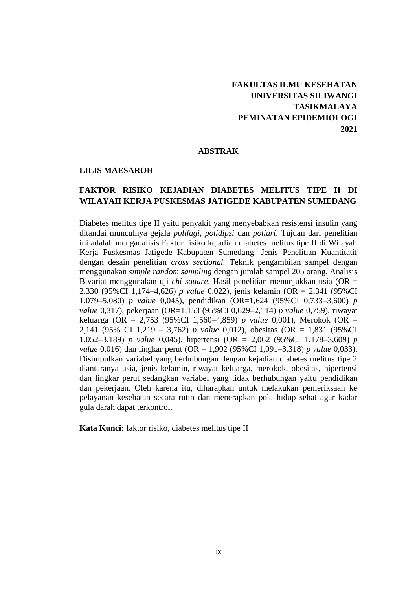# **FAKULTAS ILMU KESEHATAN UNIVERSITAS SILIWANGI TASIKMALAYA PEMINATAN EPIDEMIOLOGI 2021**

### **ABSTRAK**

#### **LILIS MAESAROH**

### **FAKTOR RISIKO KEJADIAN DIABETES MELITUS TIPE II DI WILAYAH KERJA PUSKESMAS JATIGEDE KABUPATEN SUMEDANG**

Diabetes melitus tipe II yaitu penyakit yang menyebabkan resistensi insulin yang ditandai munculnya gejala *polifagi*, *polidipsi* dan *poliuri*. Tujuan dari penelitian ini adalah menganalisis Faktor risiko kejadian diabetes melitus tipe II di Wilayah Kerja Puskesmas Jatigede Kabupaten Sumedang. Jenis Penelitian Kuantitatif dengan desain penelitian *cross sectional.* Teknik pengambilan sampel dengan menggunakan *simple random sampling* dengan jumlah sampel 205 orang. Analisis Bivariat menggunakan uji *chi square*. Hasil penelitian menunjukkan usia (OR = 2,330 (95%CI 1,174–4,626) *p value* 0,022), jenis kelamin (OR = 2,341 (95%CI 1,079–5,080) *p value* 0,045), pendidikan (OR=1,624 (95%CI 0,733–3,600) *p value* 0,317), pekerjaan (OR=1,153 (95%CI 0,629–2,114) *p value* 0,759), riwayat keluarga (OR = 2,753 (95%CI 1,560–4,859) *p value* 0,001), Merokok (OR = 2,141 (95% CI 1,219 – 3,762) *p value* 0,012), obesitas (OR = 1,831 (95%CI 1,052–3,189) *p value* 0,045), hipertensi (OR = 2,062 (95%CI 1,178–3,609) *p value* 0,016) dan lingkar perut (OR = 1,902 (95%CI 1,091–3,318) *p value* 0,033). Disimpulkan variabel yang berhubungan dengan kejadian diabetes melitus tipe 2 diantaranya usia, jenis kelamin, riwayat keluarga, merokok, obesitas, hipertensi dan lingkar perut sedangkan variabel yang tidak berhubungan yaitu pendidikan dan pekerjaan. Oleh karena itu, diharapkan untuk melakukan pemeriksaan ke pelayanan kesehatan secara rutin dan menerapkan pola hidup sehat agar kadar gula darah dapat terkontrol.

**Kata Kunci:** faktor risiko, diabetes melitus tipe II